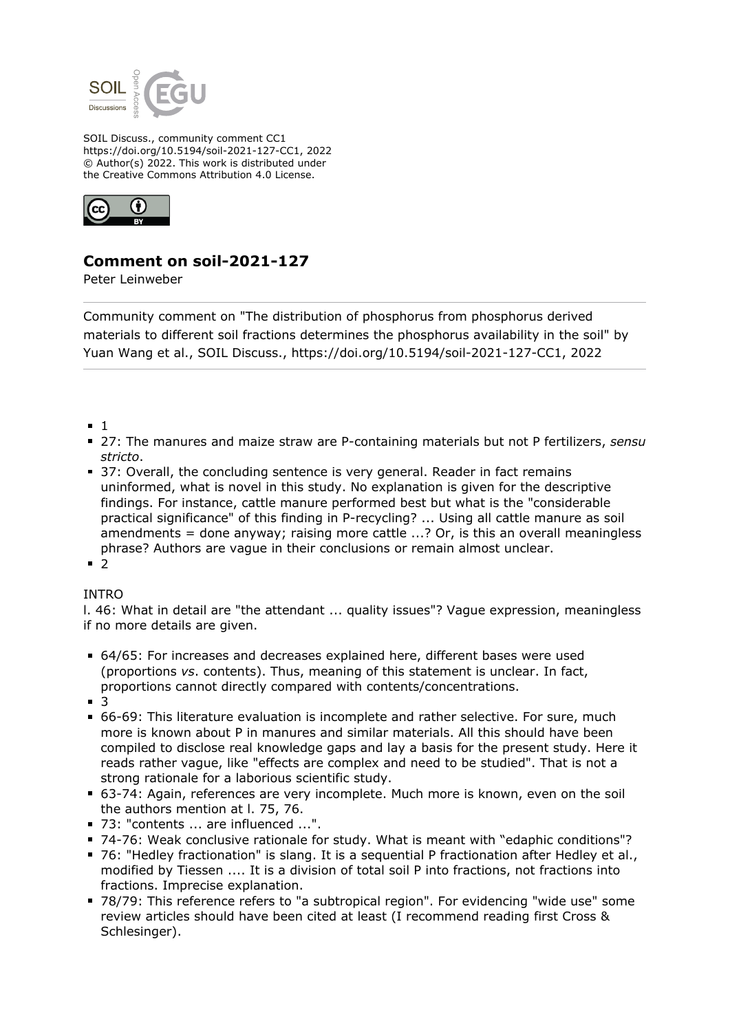

SOIL Discuss., community comment CC1 https://doi.org/10.5194/soil-2021-127-CC1, 2022 © Author(s) 2022. This work is distributed under the Creative Commons Attribution 4.0 License.



## **Comment on soil-2021-127**

Peter Leinweber

Community comment on "The distribution of phosphorus from phosphorus derived materials to different soil fractions determines the phosphorus availability in the soil" by Yuan Wang et al., SOIL Discuss., https://doi.org/10.5194/soil-2021-127-CC1, 2022

- $-1$
- 27: The manures and maize straw are P-containing materials but not P fertilizers, *sensu stricto*.
- 37: Overall, the concluding sentence is very general. Reader in fact remains uninformed, what is novel in this study. No explanation is given for the descriptive findings. For instance, cattle manure performed best but what is the "considerable practical significance" of this finding in P-recycling? ... Using all cattle manure as soil amendments = done anyway; raising more cattle  $\ldots$ ? Or, is this an overall meaningless phrase? Authors are vague in their conclusions or remain almost unclear.
- $-2$

## INTRO

l. 46: What in detail are "the attendant ... quality issues"? Vague expression, meaningless if no more details are given.

- 64/65: For increases and decreases explained here, different bases were used (proportions *vs*. contents). Thus, meaning of this statement is unclear. In fact, proportions cannot directly compared with contents/concentrations.
- $\blacksquare$  3
- 66-69: This literature evaluation is incomplete and rather selective. For sure, much more is known about P in manures and similar materials. All this should have been compiled to disclose real knowledge gaps and lay a basis for the present study. Here it reads rather vague, like "effects are complex and need to be studied". That is not a strong rationale for a laborious scientific study.
- 63-74: Again, references are very incomplete. Much more is known, even on the soil the authors mention at l. 75, 76.
- 73: "contents ... are influenced ...".
- 74-76: Weak conclusive rationale for study. What is meant with "edaphic conditions"?
- 76: "Hedley fractionation" is slang. It is a sequential P fractionation after Hedley et al., modified by Tiessen .... It is a division of total soil P into fractions, not fractions into fractions. Imprecise explanation.
- 78/79: This reference refers to "a subtropical region". For evidencing "wide use" some review articles should have been cited at least (I recommend reading first Cross & Schlesinger).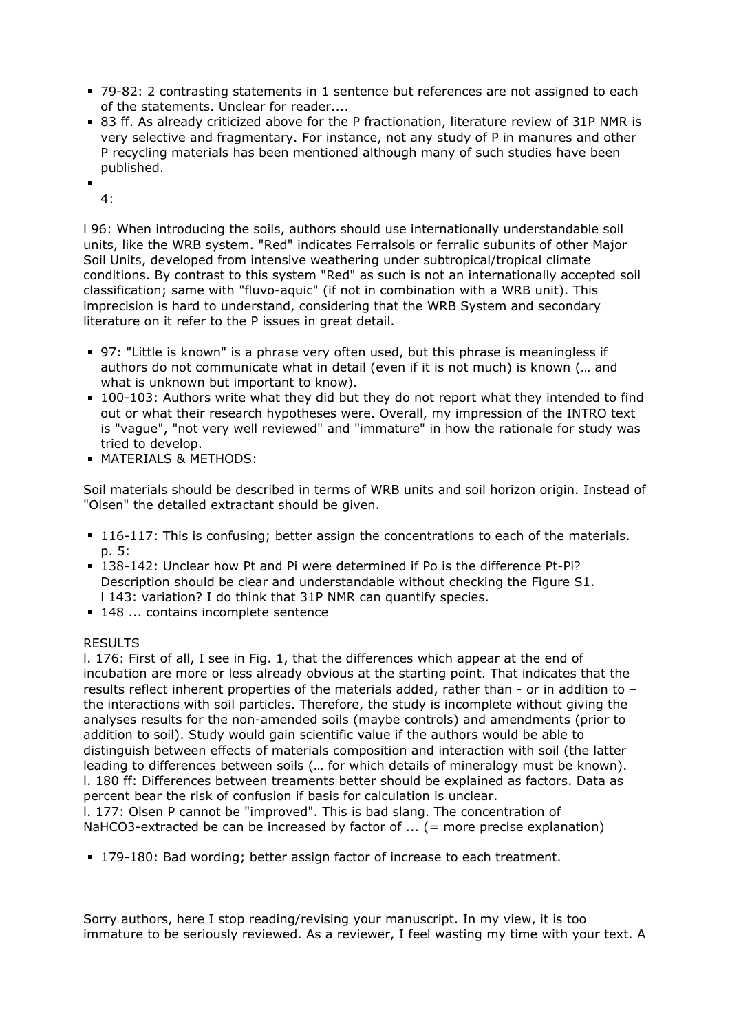- 79-82: 2 contrasting statements in 1 sentence but references are not assigned to each of the statements. Unclear for reader....
- 83 ff. As already criticized above for the P fractionation, literature review of 31P NMR is very selective and fragmentary. For instance, not any study of P in manures and other P recycling materials has been mentioned although many of such studies have been published.

4:

l 96: When introducing the soils, authors should use internationally understandable soil units, like the WRB system. "Red" indicates Ferralsols or ferralic subunits of other Major Soil Units, developed from intensive weathering under subtropical/tropical climate conditions. By contrast to this system "Red" as such is not an internationally accepted soil classification; same with "fluvo-aquic" (if not in combination with a WRB unit). This imprecision is hard to understand, considering that the WRB System and secondary literature on it refer to the P issues in great detail.

- 97: "Little is known" is a phrase very often used, but this phrase is meaningless if authors do not communicate what in detail (even if it is not much) is known (… and what is unknown but important to know).
- 100-103: Authors write what they did but they do not report what they intended to find out or what their research hypotheses were. Overall, my impression of the INTRO text is "vague", "not very well reviewed" and "immature" in how the rationale for study was tried to develop.
- **MATERIALS & METHODS:**

Soil materials should be described in terms of WRB units and soil horizon origin. Instead of "Olsen" the detailed extractant should be given.

- **116-117:** This is confusing; better assign the concentrations to each of the materials. p. 5:
- 138-142: Unclear how Pt and Pi were determined if Po is the difference Pt-Pi? Description should be clear and understandable without checking the Figure S1. l 143: variation? I do think that 31P NMR can quantify species.
- 148 ... contains incomplete sentence

## RESULTS

l. 176: First of all, I see in Fig. 1, that the differences which appear at the end of incubation are more or less already obvious at the starting point. That indicates that the results reflect inherent properties of the materials added, rather than - or in addition to – the interactions with soil particles. Therefore, the study is incomplete without giving the analyses results for the non-amended soils (maybe controls) and amendments (prior to addition to soil). Study would gain scientific value if the authors would be able to distinguish between effects of materials composition and interaction with soil (the latter leading to differences between soils (… for which details of mineralogy must be known). l. 180 ff: Differences between treaments better should be explained as factors. Data as percent bear the risk of confusion if basis for calculation is unclear. l. 177: Olsen P cannot be "improved". This is bad slang. The concentration of NaHCO3-extracted be can be increased by factor of ... (= more precise explanation)

179-180: Bad wording; better assign factor of increase to each treatment.

Sorry authors, here I stop reading/revising your manuscript. In my view, it is too immature to be seriously reviewed. As a reviewer, I feel wasting my time with your text. A